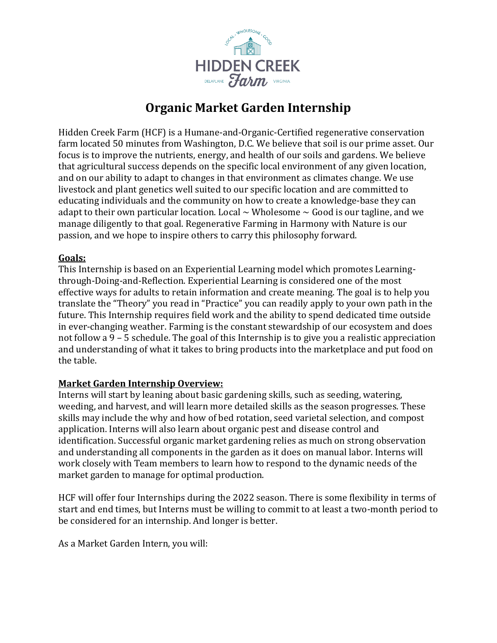

# **Organic Market Garden Internship**

Hidden Creek Farm (HCF) is a Humane-and-Organic-Certified regenerative conservation farm located 50 minutes from Washington, D.C. We believe that soil is our prime asset. Our focus is to improve the nutrients, energy, and health of our soils and gardens. We believe that agricultural success depends on the specific local environment of any given location, and on our ability to adapt to changes in that environment as climates change. We use livestock and plant genetics well suited to our specific location and are committed to educating individuals and the community on how to create a knowledge-base they can adapt to their own particular location. Local  $\sim$  Wholesome  $\sim$  Good is our tagline, and we manage diligently to that goal. Regenerative Farming in Harmony with Nature is our passion, and we hope to inspire others to carry this philosophy forward.

#### **Goals:**

This Internship is based on an Experiential Learning model which promotes Learningthrough-Doing-and-Reflection. Experiential Learning is considered one of the most effective ways for adults to retain information and create meaning. The goal is to help you translate the "Theory" you read in "Practice" you can readily apply to your own path in the future. This Internship requires field work and the ability to spend dedicated time outside in ever-changing weather. Farming is the constant stewardship of our ecosystem and does not follow a 9 – 5 schedule. The goal of this Internship is to give you a realistic appreciation and understanding of what it takes to bring products into the marketplace and put food on the table.

#### **Market Garden Internship Overview:**

Interns will start by leaning about basic gardening skills, such as seeding, watering, weeding, and harvest, and will learn more detailed skills as the season progresses. These skills may include the why and how of bed rotation, seed varietal selection, and compost application. Interns will also learn about organic pest and disease control and identification. Successful organic market gardening relies as much on strong observation and understanding all components in the garden as it does on manual labor. Interns will work closely with Team members to learn how to respond to the dynamic needs of the market garden to manage for optimal production.

HCF will offer four Internships during the 2022 season. There is some flexibility in terms of start and end times, but Interns must be willing to commit to at least a two-month period to be considered for an internship. And longer is better.

As a Market Garden Intern, you will: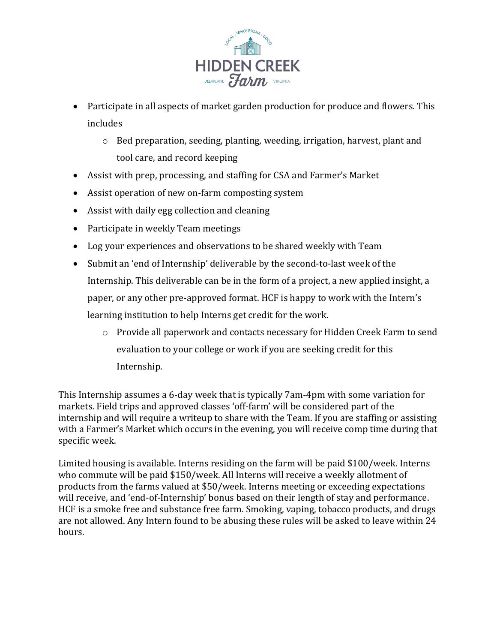

- Participate in all aspects of market garden production for produce and flowers. This includes
	- o Bed preparation, seeding, planting, weeding, irrigation, harvest, plant and tool care, and record keeping
- Assist with prep, processing, and staffing for CSA and Farmer's Market
- Assist operation of new on-farm composting system
- Assist with daily egg collection and cleaning
- Participate in weekly Team meetings
- Log your experiences and observations to be shared weekly with Team
- Submit an 'end of Internship' deliverable by the second-to-last week of the Internship. This deliverable can be in the form of a project, a new applied insight, a paper, or any other pre-approved format. HCF is happy to work with the Intern's learning institution to help Interns get credit for the work.
	- o Provide all paperwork and contacts necessary for Hidden Creek Farm to send evaluation to your college or work if you are seeking credit for this Internship.

This Internship assumes a 6-day week that is typically 7am-4pm with some variation for markets. Field trips and approved classes 'off-farm' will be considered part of the internship and will require a writeup to share with the Team. If you are staffing or assisting with a Farmer's Market which occurs in the evening, you will receive comp time during that specific week.

Limited housing is available. Interns residing on the farm will be paid \$100/week. Interns who commute will be paid \$150/week. All Interns will receive a weekly allotment of products from the farms valued at \$50/week. Interns meeting or exceeding expectations will receive, and 'end-of-Internship' bonus based on their length of stay and performance. HCF is a smoke free and substance free farm. Smoking, vaping, tobacco products, and drugs are not allowed. Any Intern found to be abusing these rules will be asked to leave within 24 hours.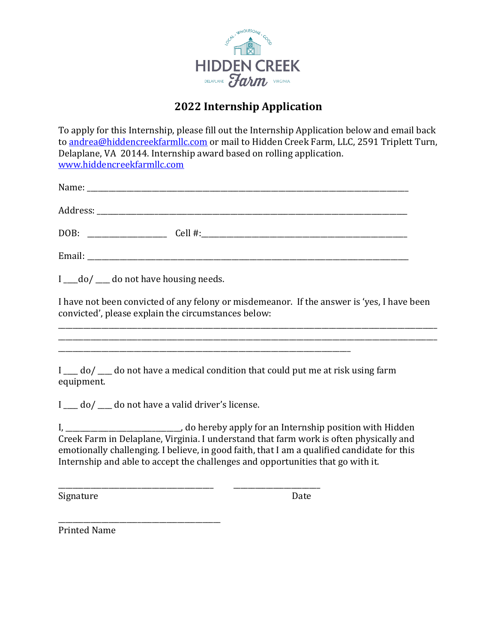

## **2022 Internship Application**

To apply for this Internship, please fill out the Internship Application below and email back to [andrea@hiddencreekfarmllc.com](mailto:dreayoung@gmail.com) or mail to Hidden Creek Farm, LLC, 2591 Triplett Turn, Delaplane, VA 20144. Internship award based on rolling application. [www.hiddencreekfarmllc.com](http://www.hiddencreekfarmllc.com/)

| DOB:<br><u> 1980 - Jan Barbarat, martin a</u> |  |
|-----------------------------------------------|--|
|                                               |  |

I do/ do not have housing needs.

I have not been convicted of any felony or misdemeanor. If the answer is 'yes, I have been convicted', please explain the circumstances below:

\_\_\_\_\_\_\_\_\_\_\_\_\_\_\_\_\_\_\_\_\_\_\_\_\_\_\_\_\_\_\_\_\_\_\_\_\_\_\_\_\_\_\_\_\_\_\_\_\_\_\_\_\_\_\_\_\_\_\_\_\_\_\_\_\_\_\_\_\_\_\_\_\_\_\_\_\_\_\_\_\_\_\_\_\_\_\_\_\_\_\_\_\_\_\_\_\_\_\_\_\_\_\_\_\_ \_\_\_\_\_\_\_\_\_\_\_\_\_\_\_\_\_\_\_\_\_\_\_\_\_\_\_\_\_\_\_\_\_\_\_\_\_\_\_\_\_\_\_\_\_\_\_\_\_\_\_\_\_\_\_\_\_\_\_\_\_\_\_\_\_\_\_\_\_\_\_\_\_\_\_\_\_\_\_\_\_\_\_\_\_\_\_\_\_\_\_\_\_\_\_\_\_\_\_\_\_\_\_\_\_

 $I$   $\equiv$  do  $/$   $\equiv$  do not have a medical condition that could put me at risk using farm equipment.

\_\_\_\_\_\_\_\_\_\_\_\_\_\_\_\_\_\_\_\_\_\_\_\_\_\_\_\_\_\_\_\_\_\_\_\_\_\_\_\_\_\_\_\_\_\_\_\_\_\_\_\_\_\_\_\_\_\_\_\_\_\_\_\_\_\_\_\_\_\_\_\_\_\_\_\_\_\_\_\_\_

\_\_\_\_\_\_\_\_\_\_\_\_\_\_\_\_\_\_\_\_\_\_\_\_\_\_\_\_\_\_\_\_\_\_\_\_\_\_\_\_\_\_\_ \_\_\_\_\_\_\_\_\_\_\_\_\_\_\_\_\_\_\_\_\_\_\_\_

 $I_{\text{max}}$  do not have a valid driver's license.

\_\_\_\_\_\_\_\_\_\_\_\_\_\_\_\_\_\_\_\_\_\_\_\_\_\_\_\_\_\_\_\_\_\_\_\_\_\_\_\_\_\_\_\_\_

I, \_\_\_\_\_\_\_\_\_\_\_\_\_\_\_\_\_\_\_\_\_\_\_\_\_\_\_\_\_\_\_\_, do hereby apply for an Internship position with Hidden Creek Farm in Delaplane, Virginia. I understand that farm work is often physically and emotionally challenging. I believe, in good faith, that I am a qualified candidate for this Internship and able to accept the challenges and opportunities that go with it.

Signature Date

Printed Name